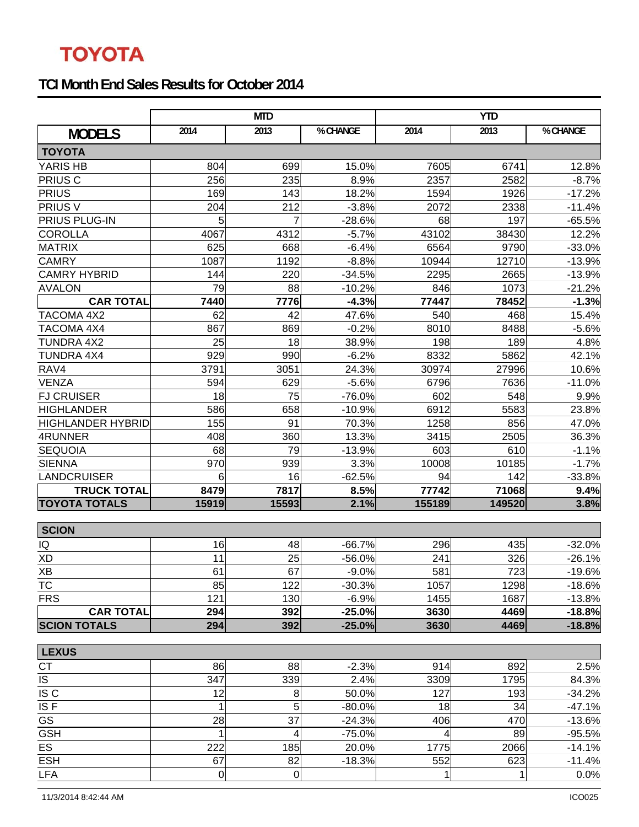## **TOYOTA**

## **TCI Month End Sales Results for October 2014**

|                          | <b>MTD</b> |           |          | <b>YTD</b>  |        |          |  |  |  |  |
|--------------------------|------------|-----------|----------|-------------|--------|----------|--|--|--|--|
| <b>MODELS</b>            | 2014       | 2013      | % CHANGE | 2014        | 2013   | % CHANGE |  |  |  |  |
| <b>TOYOTA</b>            |            |           |          |             |        |          |  |  |  |  |
| YARIS HB                 | 804        | 699       | 15.0%    | 7605        | 6741   | 12.8%    |  |  |  |  |
| PRIUS <sub>C</sub>       | 256        | 235       | 8.9%     | 2357        | 2582   | $-8.7%$  |  |  |  |  |
| <b>PRIUS</b>             | 169        | 143       | 18.2%    | 1594        | 1926   | $-17.2%$ |  |  |  |  |
| PRIUS V                  | 204        | 212       | $-3.8%$  | 2072        | 2338   | $-11.4%$ |  |  |  |  |
| PRIUS PLUG-IN            | 5          | 7         | $-28.6%$ | 68          | 197    | $-65.5%$ |  |  |  |  |
| <b>COROLLA</b>           | 4067       | 4312      | $-5.7%$  | 43102       | 38430  | 12.2%    |  |  |  |  |
| <b>MATRIX</b>            | 625        | 668       | $-6.4%$  | 6564        | 9790   | $-33.0%$ |  |  |  |  |
| <b>CAMRY</b>             | 1087       | 1192      | $-8.8%$  | 10944       | 12710  | $-13.9%$ |  |  |  |  |
| <b>CAMRY HYBRID</b>      | 144        | 220       | $-34.5%$ | 2295        | 2665   | $-13.9%$ |  |  |  |  |
| <b>AVALON</b>            | 79         | 88        | $-10.2%$ | 846         | 1073   | $-21.2%$ |  |  |  |  |
| <b>CAR TOTAL</b>         | 7440       | 7776      | $-4.3%$  | 77447       | 78452  | $-1.3%$  |  |  |  |  |
| TACOMA 4X2               | 62         | 42        | 47.6%    | 540         | 468    | 15.4%    |  |  |  |  |
| TACOMA 4X4               | 867        | 869       | $-0.2%$  | 8010        | 8488   | $-5.6%$  |  |  |  |  |
| TUNDRA 4X2               | 25         | 18        | 38.9%    | 198         | 189    | 4.8%     |  |  |  |  |
| <b>TUNDRA 4X4</b>        | 929        | 990       | $-6.2%$  | 8332        | 5862   | 42.1%    |  |  |  |  |
| RAV4                     | 3791       | 3051      | 24.3%    | 30974       | 27996  | 10.6%    |  |  |  |  |
| <b>VENZA</b>             | 594        | 629       | $-5.6%$  | 6796        | 7636   | $-11.0%$ |  |  |  |  |
| <b>FJ CRUISER</b>        | 18         | 75        | $-76.0%$ | 602         | 548    | 9.9%     |  |  |  |  |
| <b>HIGHLANDER</b>        | 586        | 658       | $-10.9%$ | 6912        | 5583   | 23.8%    |  |  |  |  |
| <b>HIGHLANDER HYBRID</b> | 155        | 91        | 70.3%    | 1258        | 856    | 47.0%    |  |  |  |  |
| 4RUNNER                  | 408        | 360       | 13.3%    | 3415        | 2505   | 36.3%    |  |  |  |  |
| <b>SEQUOIA</b>           | 68         | 79        | $-13.9%$ | 603         | 610    | $-1.1%$  |  |  |  |  |
| <b>SIENNA</b>            | 970        | 939       | 3.3%     | 10008       | 10185  | $-1.7%$  |  |  |  |  |
| <b>LANDCRUISER</b>       | 6          | 16        | $-62.5%$ | 94          | 142    | $-33.8%$ |  |  |  |  |
| <b>TRUCK TOTAL</b>       | 8479       | 7817      | 8.5%     | 77742       | 71068  | 9.4%     |  |  |  |  |
| <b>TOYOTA TOTALS</b>     | 15919      | 15593     | 2.1%     | 155189      | 149520 | 3.8%     |  |  |  |  |
| <b>SCION</b>             |            |           |          |             |        |          |  |  |  |  |
| IQ                       | 16         | 48        | $-66.7%$ | 296         | 435    | $-32.0%$ |  |  |  |  |
| <b>XD</b>                | 11         | 25        | $-56.0%$ | 241         | 326    | $-26.1%$ |  |  |  |  |
| ΧB                       | 61         | 67        | $-9.0%$  | 581         | 723    | $-19.6%$ |  |  |  |  |
| <b>TC</b>                | 85         | 122       | $-30.3%$ | 1057        | 1298   | $-18.6%$ |  |  |  |  |
| <b>FRS</b>               | 121        | 130       | $-6.9%$  | 1455        | 1687   | $-13.8%$ |  |  |  |  |
| <b>CAR TOTAL</b>         | 294        | 392       | $-25.0%$ | 3630        | 4469   | $-18.8%$ |  |  |  |  |
| <b>SCION TOTALS</b>      | 294        | 392       | $-25.0%$ | 3630        | 4469   | $-18.8%$ |  |  |  |  |
|                          |            |           |          |             |        |          |  |  |  |  |
| <b>LEXUS</b>             |            |           |          |             |        |          |  |  |  |  |
| <b>CT</b>                | 86         | 88        | $-2.3%$  | 914         | 892    | 2.5%     |  |  |  |  |
| <b>IS</b>                | 347        | 339       | 2.4%     | 3309        | 1795   | 84.3%    |  |  |  |  |
| IS C                     | 12         | 8         | 50.0%    | 127         | 193    | $-34.2%$ |  |  |  |  |
| ISF                      | 1          | 5         | $-80.0%$ | 18          | 34     | $-47.1%$ |  |  |  |  |
| GS                       | 28         | 37        | $-24.3%$ | 406         | 470    | $-13.6%$ |  |  |  |  |
| <b>GSH</b>               | 1          | 4         | $-75.0%$ | 4           | 89     | $-95.5%$ |  |  |  |  |
| ES                       | 222        | 185       | 20.0%    | 1775        | 2066   | $-14.1%$ |  |  |  |  |
| <b>ESH</b>               | 67         | 82        | $-18.3%$ | 552         | 623    | $-11.4%$ |  |  |  |  |
| <b>LFA</b>               | 0          | $\pmb{0}$ |          | $\mathbf 1$ | 1      | 0.0%     |  |  |  |  |